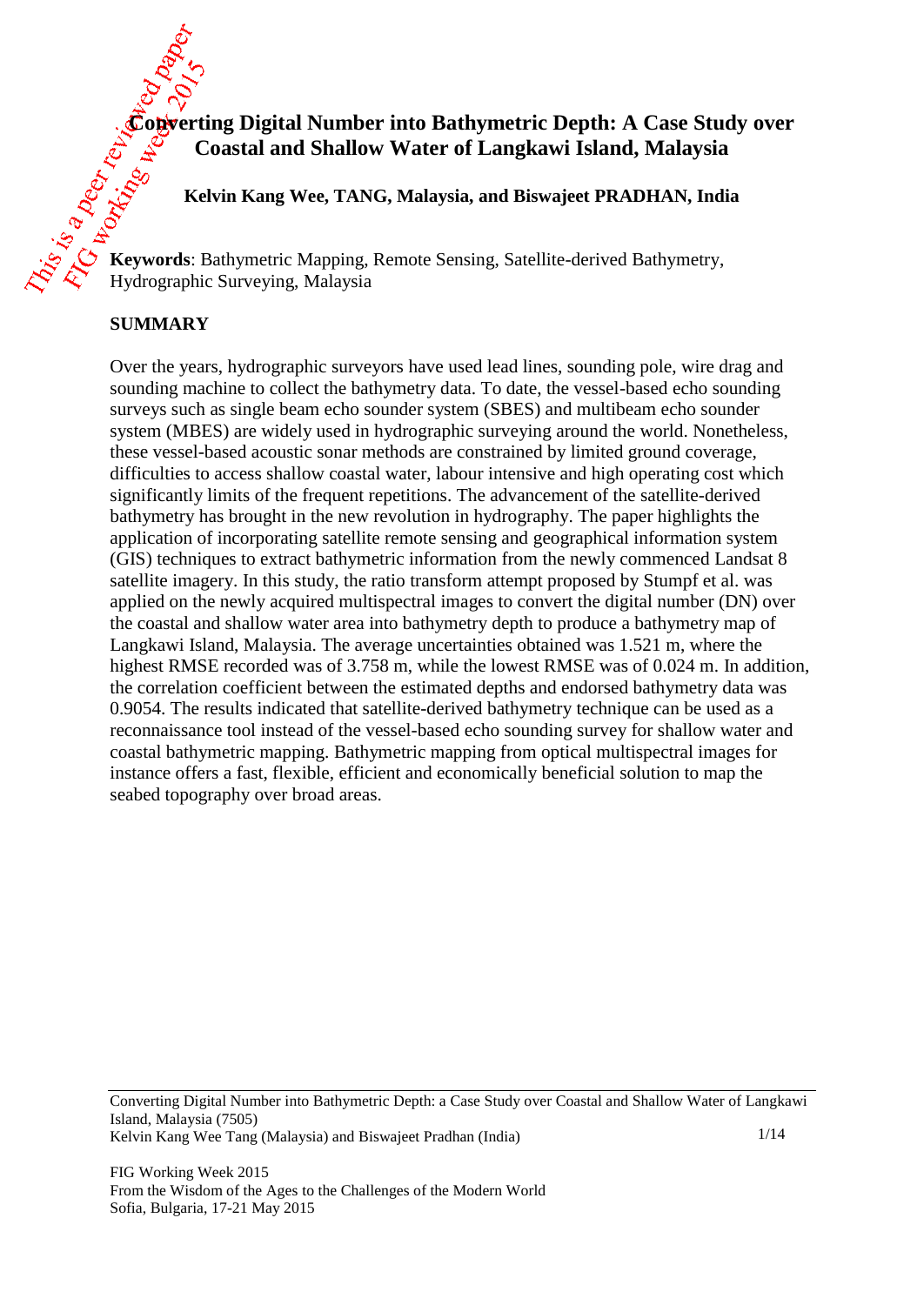# **Converting Digital Number into Bathymetric Depth: A Case Study over Coastal and Shallow Water of Langkawi Island, Malaysia**

**Kelvin Kang Wee, TANG, Malaysia, and Biswajeet PRADHAN, India**

**Keywords**: Bathymetric Mapping, Remote Sensing, Satellite-derived Bathymetry, Hydrographic Surveying, Malaysia

#### **SUMMARY**

Over the years, hydrographic surveyors have used lead lines, sounding pole, wire drag and sounding machine to collect the bathymetry data. To date, the vessel-based echo sounding surveys such as single beam echo sounder system (SBES) and multibeam echo sounder system (MBES) are widely used in hydrographic surveying around the world. Nonetheless, these vessel-based acoustic sonar methods are constrained by limited ground coverage, difficulties to access shallow coastal water, labour intensive and high operating cost which significantly limits of the frequent repetitions. The advancement of the satellite-derived bathymetry has brought in the new revolution in hydrography. The paper highlights the application of incorporating satellite remote sensing and geographical information system (GIS) techniques to extract bathymetric information from the newly commenced Landsat 8 satellite imagery. In this study, the ratio transform attempt proposed by Stumpf et al. was applied on the newly acquired multispectral images to convert the digital number (DN) over the coastal and shallow water area into bathymetry depth to produce a bathymetry map of Langkawi Island, Malaysia. The average uncertainties obtained was 1.521 m, where the highest RMSE recorded was of 3.758 m, while the lowest RMSE was of 0.024 m. In addition, the correlation coefficient between the estimated depths and endorsed bathymetry data was 0.9054. The results indicated that satellite-derived bathymetry technique can be used as a reconnaissance tool instead of the vessel-based echo sounding survey for shallow water and coastal bathymetric mapping. Bathymetric mapping from optical multispectral images for instance offers a fast, flexible, efficient and economically beneficial solution to map the seabed topography over broad areas.

Converting Digital Number into Bathymetric Depth: a Case Study over Coastal and Shallow Water of Langkawi Island, Malaysia (7505) Kelvin Kang Wee Tang (Malaysia) and Biswajeet Pradhan (India) 1/14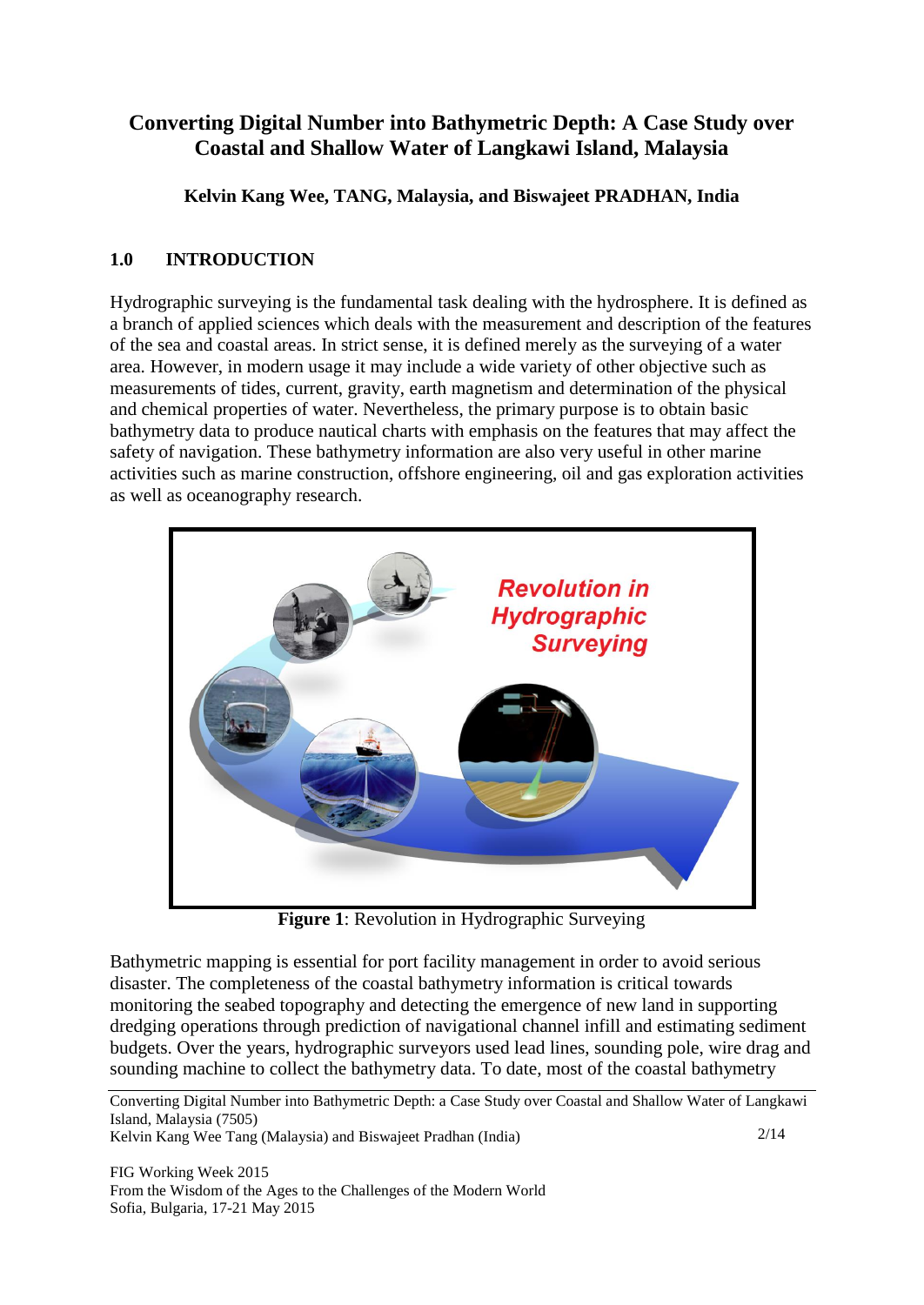## **Converting Digital Number into Bathymetric Depth: A Case Study over Coastal and Shallow Water of Langkawi Island, Malaysia**

**Kelvin Kang Wee, TANG, Malaysia, and Biswajeet PRADHAN, India**

## **1.0 INTRODUCTION**

Hydrographic surveying is the fundamental task dealing with the hydrosphere. It is defined as a branch of applied sciences which deals with the measurement and description of the features of the sea and coastal areas. In strict sense, it is defined merely as the surveying of a water area. However, in modern usage it may include a wide variety of other objective such as measurements of tides, current, gravity, earth magnetism and determination of the physical and chemical properties of water. Nevertheless, the primary purpose is to obtain basic bathymetry data to produce nautical charts with emphasis on the features that may affect the safety of navigation. These bathymetry information are also very useful in other marine activities such as marine construction, offshore engineering, oil and gas exploration activities as well as oceanography research.



**Figure 1**: Revolution in Hydrographic Surveying

Bathymetric mapping is essential for port facility management in order to avoid serious disaster. The completeness of the coastal bathymetry information is critical towards monitoring the seabed topography and detecting the emergence of new land in supporting dredging operations through prediction of navigational channel infill and estimating sediment budgets. Over the years, hydrographic surveyors used lead lines, sounding pole, wire drag and sounding machine to collect the bathymetry data. To date, most of the coastal bathymetry

Converting Digital Number into Bathymetric Depth: a Case Study over Coastal and Shallow Water of Langkawi Island, Malaysia (7505) 2/14

Kelvin Kang Wee Tang (Malaysia) and Biswajeet Pradhan (India)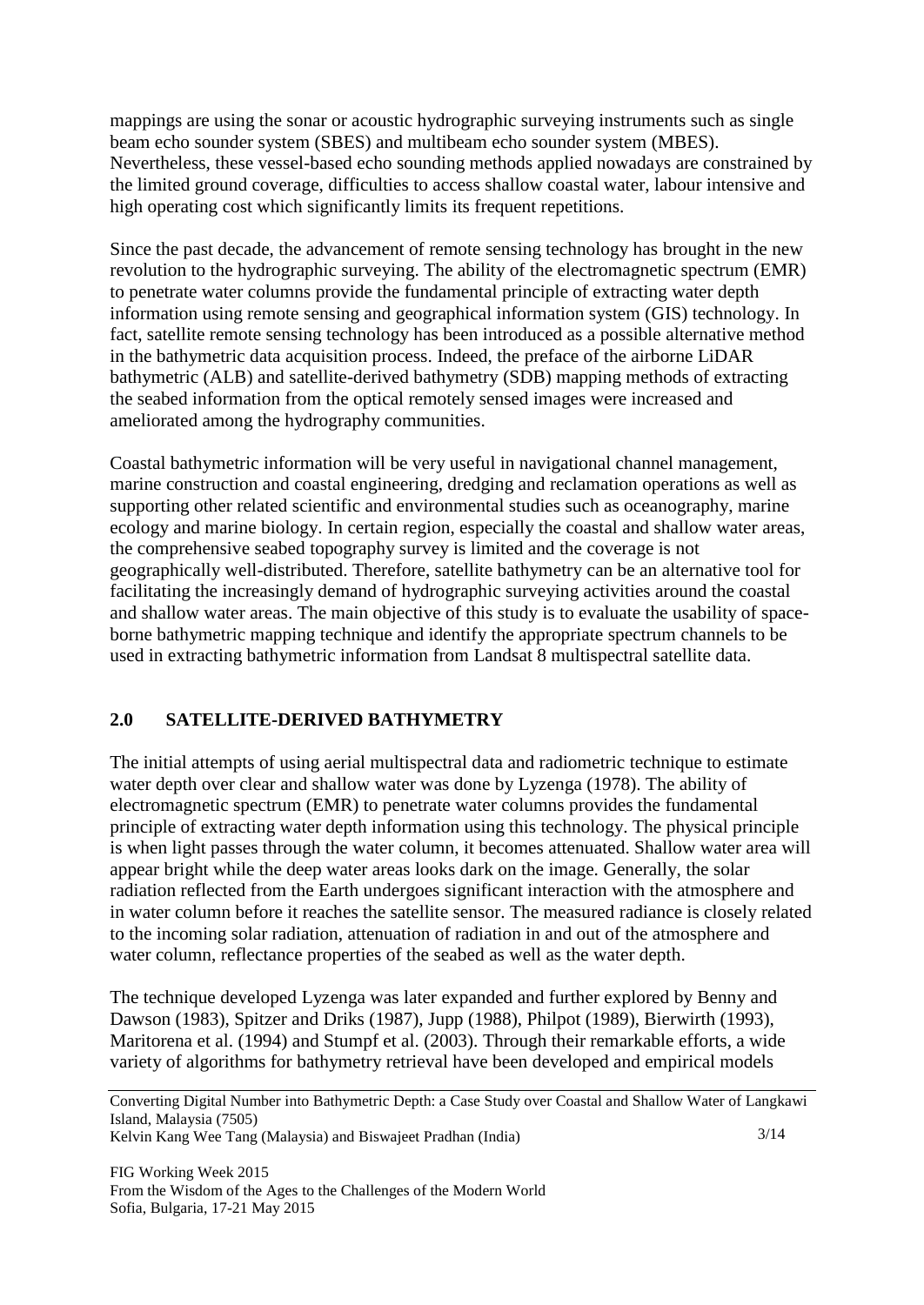mappings are using the sonar or acoustic hydrographic surveying instruments such as single beam echo sounder system (SBES) and multibeam echo sounder system (MBES). Nevertheless, these vessel-based echo sounding methods applied nowadays are constrained by the limited ground coverage, difficulties to access shallow coastal water, labour intensive and high operating cost which significantly limits its frequent repetitions.

Since the past decade, the advancement of remote sensing technology has brought in the new revolution to the hydrographic surveying. The ability of the electromagnetic spectrum (EMR) to penetrate water columns provide the fundamental principle of extracting water depth information using remote sensing and geographical information system (GIS) technology. In fact, satellite remote sensing technology has been introduced as a possible alternative method in the bathymetric data acquisition process. Indeed, the preface of the airborne LiDAR bathymetric (ALB) and satellite-derived bathymetry (SDB) mapping methods of extracting the seabed information from the optical remotely sensed images were increased and ameliorated among the hydrography communities.

Coastal bathymetric information will be very useful in navigational channel management, marine construction and coastal engineering, dredging and reclamation operations as well as supporting other related scientific and environmental studies such as oceanography, marine ecology and marine biology. In certain region, especially the coastal and shallow water areas, the comprehensive seabed topography survey is limited and the coverage is not geographically well-distributed. Therefore, satellite bathymetry can be an alternative tool for facilitating the increasingly demand of hydrographic surveying activities around the coastal and shallow water areas. The main objective of this study is to evaluate the usability of spaceborne bathymetric mapping technique and identify the appropriate spectrum channels to be used in extracting bathymetric information from Landsat 8 multispectral satellite data.

#### **2.0 SATELLITE-DERIVED BATHYMETRY**

The initial attempts of using aerial multispectral data and radiometric technique to estimate water depth over clear and shallow water was done by Lyzenga (1978). The ability of electromagnetic spectrum (EMR) to penetrate water columns provides the fundamental principle of extracting water depth information using this technology. The physical principle is when light passes through the water column, it becomes attenuated. Shallow water area will appear bright while the deep water areas looks dark on the image. Generally, the solar radiation reflected from the Earth undergoes significant interaction with the atmosphere and in water column before it reaches the satellite sensor. The measured radiance is closely related to the incoming solar radiation, attenuation of radiation in and out of the atmosphere and water column, reflectance properties of the seabed as well as the water depth.

The technique developed Lyzenga was later expanded and further explored by Benny and Dawson (1983), Spitzer and Driks (1987), Jupp (1988), Philpot (1989), Bierwirth (1993), Maritorena et al. (1994) and Stumpf et al. (2003). Through their remarkable efforts, a wide variety of algorithms for bathymetry retrieval have been developed and empirical models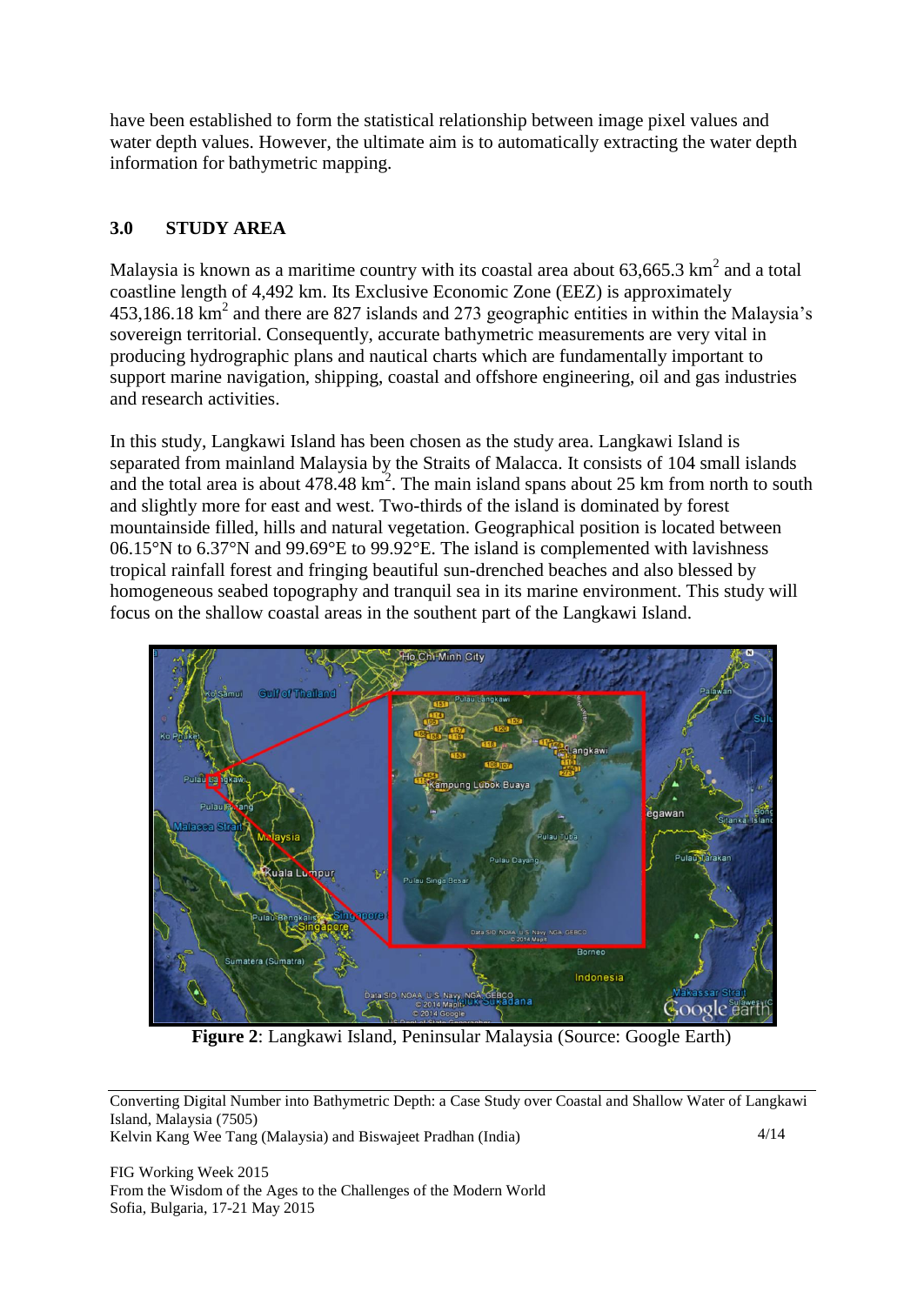have been established to form the statistical relationship between image pixel values and water depth values. However, the ultimate aim is to automatically extracting the water depth information for bathymetric mapping.

## **3.0 STUDY AREA**

Malaysia is known as a maritime country with its coastal area about  $63,665.3 \text{ km}^2$  and a total coastline length of 4,492 km. Its Exclusive Economic Zone (EEZ) is approximately  $453,186.18$  km<sup>2</sup> and there are 827 islands and 273 geographic entities in within the Malaysia's sovereign territorial. Consequently, accurate bathymetric measurements are very vital in producing hydrographic plans and nautical charts which are fundamentally important to support marine navigation, shipping, coastal and offshore engineering, oil and gas industries and research activities.

In this study, Langkawi Island has been chosen as the study area. Langkawi Island is separated from mainland Malaysia by the Straits of Malacca. It consists of 104 small islands and the total area is about  $478.48 \text{ km}^2$ . The main island spans about 25 km from north to south and slightly more for east and west. Two-thirds of the island is dominated by forest mountainside filled, hills and natural vegetation. Geographical position is located between 06.15°N to 6.37°N and 99.69°E to 99.92°E. The island is complemented with lavishness tropical rainfall forest and fringing beautiful sun-drenched beaches and also blessed by homogeneous seabed topography and tranquil sea in its marine environment. This study will focus on the shallow coastal areas in the southent part of the Langkawi Island.



**Figure 2**: Langkawi Island, Peninsular Malaysia (Source: Google Earth)

Converting Digital Number into Bathymetric Depth: a Case Study over Coastal and Shallow Water of Langkawi Island, Malaysia (7505) 4/14

Kelvin Kang Wee Tang (Malaysia) and Biswajeet Pradhan (India)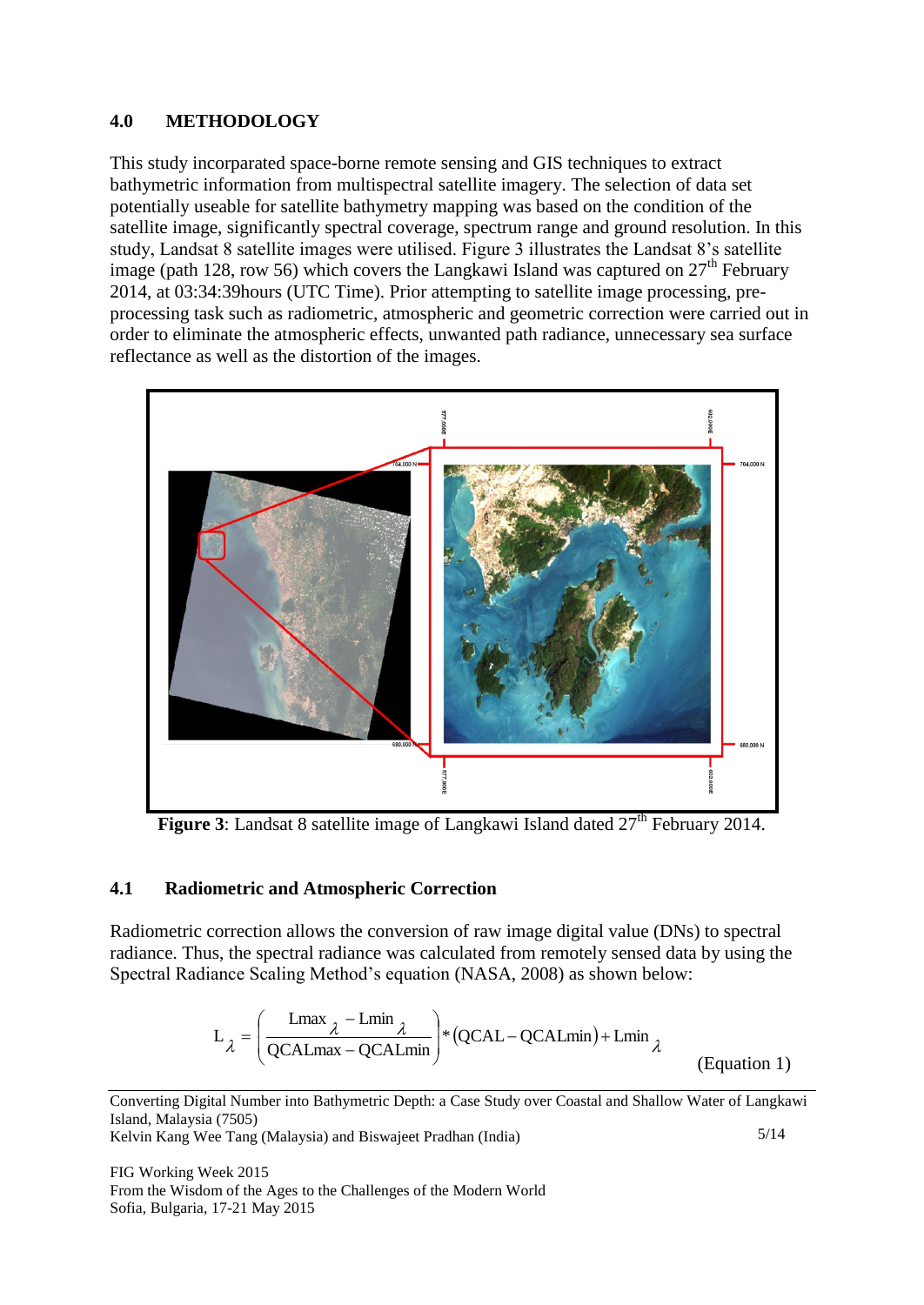### **4.0 METHODOLOGY**

This study incorparated space-borne remote sensing and GIS techniques to extract bathymetric information from multispectral satellite imagery. The selection of data set potentially useable for satellite bathymetry mapping was based on the condition of the satellite image, significantly spectral coverage, spectrum range and ground resolution. In this study, Landsat 8 satellite images were utilised. Figure 3 illustrates the Landsat 8's satellite image (path 128, row 56) which covers the Langkawi Island was captured on  $27<sup>th</sup>$  February 2014, at 03:34:39hours (UTC Time). Prior attempting to satellite image processing, preprocessing task such as radiometric, atmospheric and geometric correction were carried out in order to eliminate the atmospheric effects, unwanted path radiance, unnecessary sea surface reflectance as well as the distortion of the images.



**Figure 3**: Landsat 8 satellite image of Langkawi Island dated  $27<sup>th</sup>$  February 2014.

## **4.1 Radiometric and Atmospheric Correction**

Radiometric correction allows the conversion of raw image digital value (DNs) to spectral radiance. Thus, the spectral radiance was calculated from remotely sensed data by using the Spectral Radiance Scaling Method's equation (NASA, 2008) as shown below:

$$
L_{\lambda} = \left(\frac{\text{Lmax}_{\lambda} - \text{Lmin}_{\lambda}}{\text{QCALmax} - \text{QCALmin}}\right) * (\text{QCAL} - \text{QCALmin}) + \text{Lmin}_{\lambda}
$$
\n(Equation 1)

Converting Digital Number into Bathymetric Depth: a Case Study over Coastal and Shallow Water of Langkawi Island, Malaysia (7505)

Kelvin Kang Wee Tang (Malaysia) and Biswajeet Pradhan (India)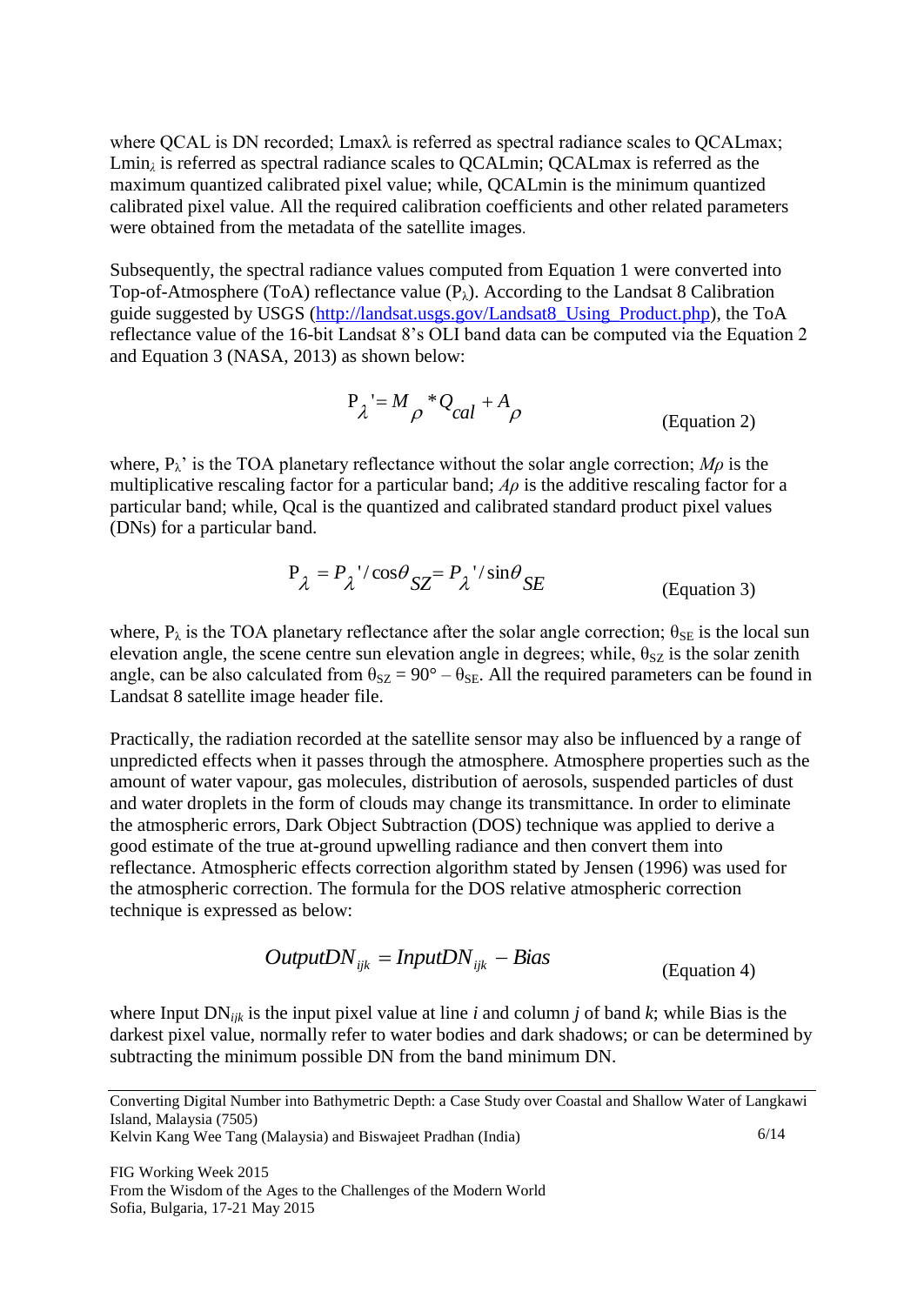where QCAL is DN recorded; Lmaxλ is referred as spectral radiance scales to QCALmax; Lmin<sub>*i*</sub> is referred as spectral radiance scales to OCALmin; OCALmax is referred as the maximum quantized calibrated pixel value; while, QCALmin is the minimum quantized calibrated pixel value. All the required calibration coefficients and other related parameters were obtained from the metadata of the satellite images.

Subsequently, the spectral radiance values computed from Equation 1 were converted into Top-of-Atmosphere (ToA) reflectance value  $(P_{\lambda})$ . According to the Landsat 8 Calibration guide suggested by USGS [\(http://landsat.usgs.gov/Landsat8\\_Using\\_Product.php\)](http://landsat.usgs.gov/Landsat8_Using_Product.php), the ToA reflectance value of the 16-bit Landsat 8's OLI band data can be computed via the Equation 2 and Equation 3 (NASA, 2013) as shown below:

$$
P_{\lambda} = M_{\rho} * Q_{cal} + A_{\rho}
$$
 (Equation 2)

where,  $P_{\lambda}$ <sup>'</sup> is the TOA planetary reflectance without the solar angle correction; *M<sub>p</sub>* is the multiplicative rescaling factor for a particular band; *Aρ* is the additive rescaling factor for a particular band; while, Qcal is the quantized and calibrated standard product pixel values (DNs) for a particular band.

$$
P_{\lambda} = P_{\lambda}^{\prime} / \cos \theta_{SZ} = P_{\lambda}^{\prime} / \sin \theta_{SE}
$$
 (Equation 3)

where,  $P_{\lambda}$  is the TOA planetary reflectance after the solar angle correction;  $\theta_{SE}$  is the local sun elevation angle, the scene centre sun elevation angle in degrees; while,  $\theta_{SZ}$  is the solar zenith angle, can be also calculated from  $\theta_{SZ} = 90^\circ - \theta_{SE}$ . All the required parameters can be found in Landsat 8 satellite image header file.

Practically, the radiation recorded at the satellite sensor may also be influenced by a range of unpredicted effects when it passes through the atmosphere. Atmosphere properties such as the amount of water vapour, gas molecules, distribution of aerosols, suspended particles of dust and water droplets in the form of clouds may change its transmittance. In order to eliminate the atmospheric errors, Dark Object Subtraction (DOS) technique was applied to derive a good estimate of the true at-ground upwelling radiance and then convert them into reflectance. Atmospheric effects correction algorithm stated by Jensen (1996) was used for the atmospheric correction. The formula for the DOS relative atmospheric correction technique is expressed as below:

$$
OutputDN_{ijk} = InputDN_{ijk} - Bias
$$
\n(Equation 4)

where Input DN*ijk* is the input pixel value at line *i* and column *j* of band *k*; while Bias is the darkest pixel value, normally refer to water bodies and dark shadows; or can be determined by subtracting the minimum possible DN from the band minimum DN.

Kelvin Kang Wee Tang (Malaysia) and Biswajeet Pradhan (India)

Converting Digital Number into Bathymetric Depth: a Case Study over Coastal and Shallow Water of Langkawi Island, Malaysia (7505)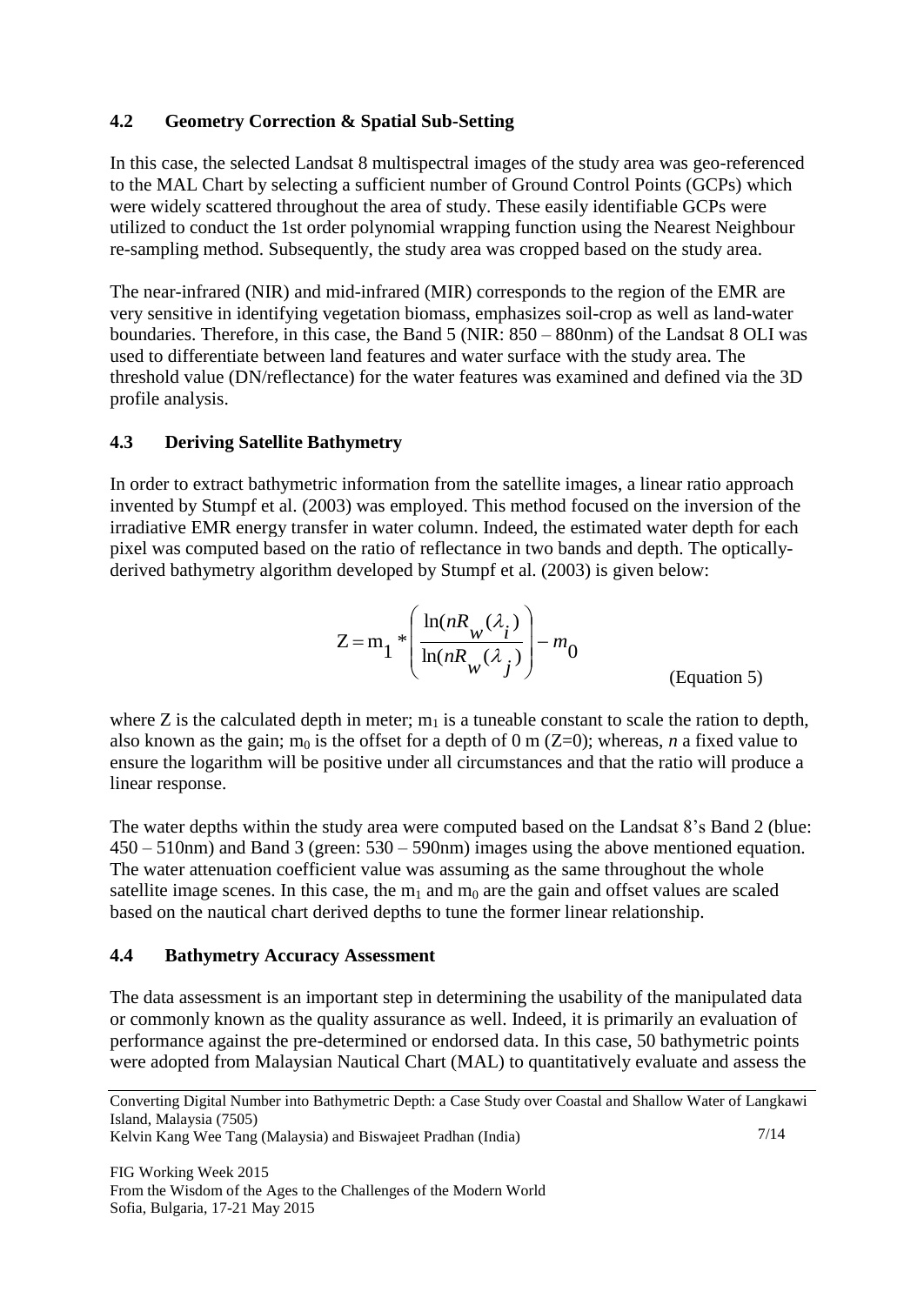#### **4.2 Geometry Correction & Spatial Sub-Setting**

In this case, the selected Landsat 8 multispectral images of the study area was geo-referenced to the MAL Chart by selecting a sufficient number of Ground Control Points (GCPs) which were widely scattered throughout the area of study. These easily identifiable GCPs were utilized to conduct the 1st order polynomial wrapping function using the Nearest Neighbour re-sampling method. Subsequently, the study area was cropped based on the study area.

The near-infrared (NIR) and mid-infrared (MIR) corresponds to the region of the EMR are very sensitive in identifying vegetation biomass, emphasizes soil-crop as well as land-water boundaries. Therefore, in this case, the Band 5 (NIR: 850 – 880nm) of the Landsat 8 OLI was used to differentiate between land features and water surface with the study area. The threshold value (DN/reflectance) for the water features was examined and defined via the 3D profile analysis.

#### **4.3 Deriving Satellite Bathymetry**

In order to extract bathymetric information from the satellite images, a linear ratio approach invented by Stumpf et al. (2003) was employed. This method focused on the inversion of the irradiative EMR energy transfer in water column. Indeed, the estimated water depth for each pixel was computed based on the ratio of reflectance in two bands and depth. The opticallyderived bathymetry algorithm developed by Stumpf et al. (2003) is given below:

$$
Z = m_1 \sqrt[*]{\frac{\ln(nR_w(\lambda_i))}{\ln(nR_w(\lambda_i))}} - m_0
$$
\n(Equation 5)

where Z is the calculated depth in meter;  $m_1$  is a tuneable constant to scale the ration to depth, also known as the gain;  $m_0$  is the offset for a depth of 0 m (Z=0); whereas, *n* a fixed value to ensure the logarithm will be positive under all circumstances and that the ratio will produce a linear response.

The water depths within the study area were computed based on the Landsat 8's Band 2 (blue: 450 – 510nm) and Band 3 (green: 530 – 590nm) images using the above mentioned equation. The water attenuation coefficient value was assuming as the same throughout the whole satellite image scenes. In this case, the  $m_1$  and  $m_0$  are the gain and offset values are scaled based on the nautical chart derived depths to tune the former linear relationship.

#### **4.4 Bathymetry Accuracy Assessment**

The data assessment is an important step in determining the usability of the manipulated data or commonly known as the quality assurance as well. Indeed, it is primarily an evaluation of performance against the pre-determined or endorsed data. In this case, 50 bathymetric points were adopted from Malaysian Nautical Chart (MAL) to quantitatively evaluate and assess the

Kelvin Kang Wee Tang (Malaysia) and Biswajeet Pradhan (India)

Converting Digital Number into Bathymetric Depth: a Case Study over Coastal and Shallow Water of Langkawi Island, Malaysia (7505)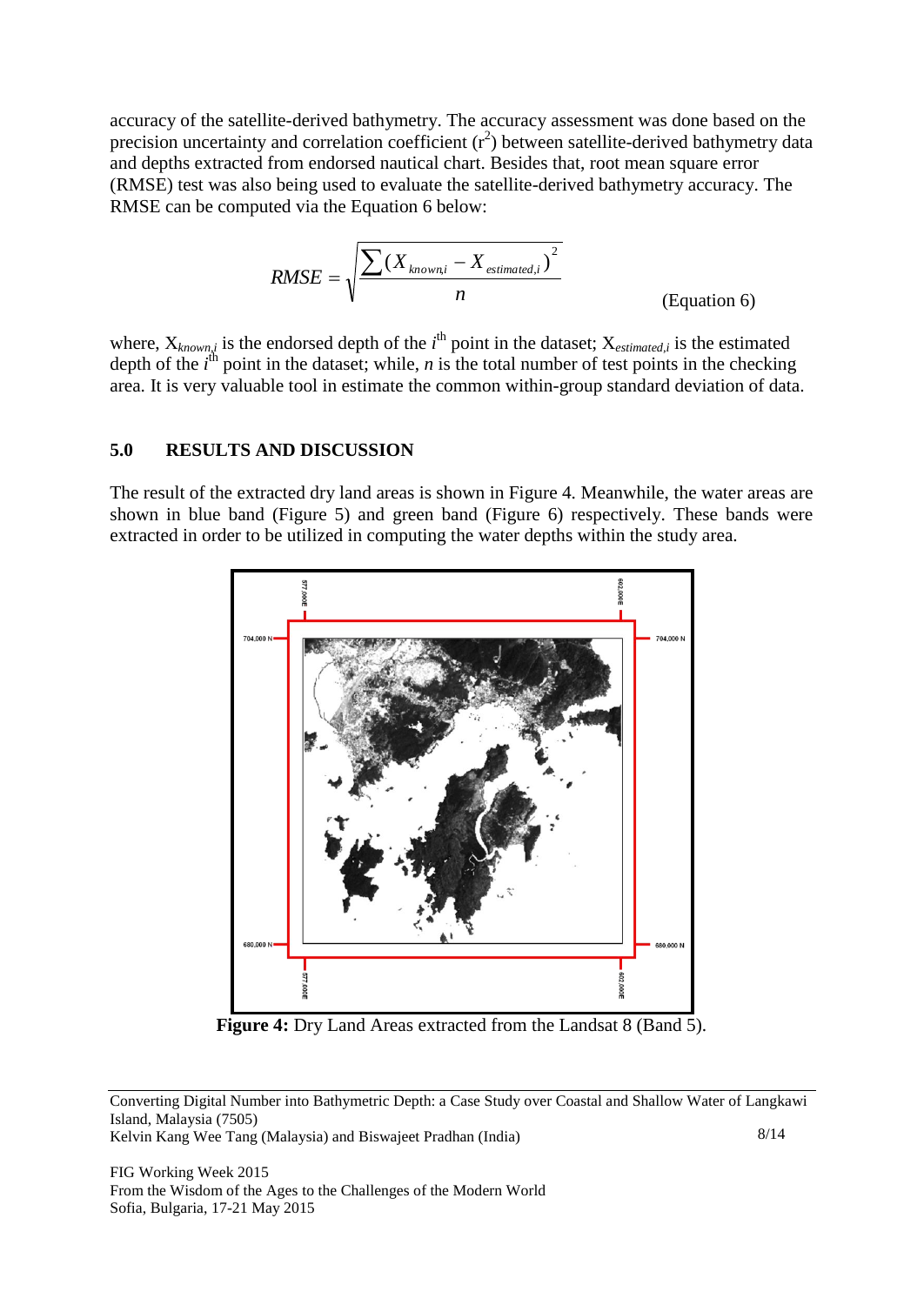accuracy of the satellite-derived bathymetry. The accuracy assessment was done based on the precision uncertainty and correlation coefficient  $(r^2)$  between satellite-derived bathymetry data and depths extracted from endorsed nautical chart. Besides that, root mean square error (RMSE) test was also being used to evaluate the satellite-derived bathymetry accuracy. The RMSE can be computed via the Equation 6 below:

$$
RMSE = \sqrt{\frac{\sum (X_{known,i} - X_{estimated,i})^2}{n}}
$$
 (Equation 6)

where,  $X_{known,i}$  is the endorsed depth of the  $i<sup>th</sup>$  point in the dataset;  $X_{estimated,i}$  is the estimated depth of the  $i^{\text{th}}$  point in the dataset; while, *n* is the total number of test points in the checking area. It is very valuable tool in estimate the common within-group standard deviation of data.

#### **5.0 RESULTS AND DISCUSSION**

The result of the extracted dry land areas is shown in Figure 4. Meanwhile, the water areas are shown in blue band (Figure 5) and green band (Figure 6) respectively. These bands were extracted in order to be utilized in computing the water depths within the study area.



**Figure 4:** Dry Land Areas extracted from the Landsat 8 (Band 5).

Converting Digital Number into Bathymetric Depth: a Case Study over Coastal and Shallow Water of Langkawi Island, Malaysia (7505)

Kelvin Kang Wee Tang (Malaysia) and Biswajeet Pradhan (India)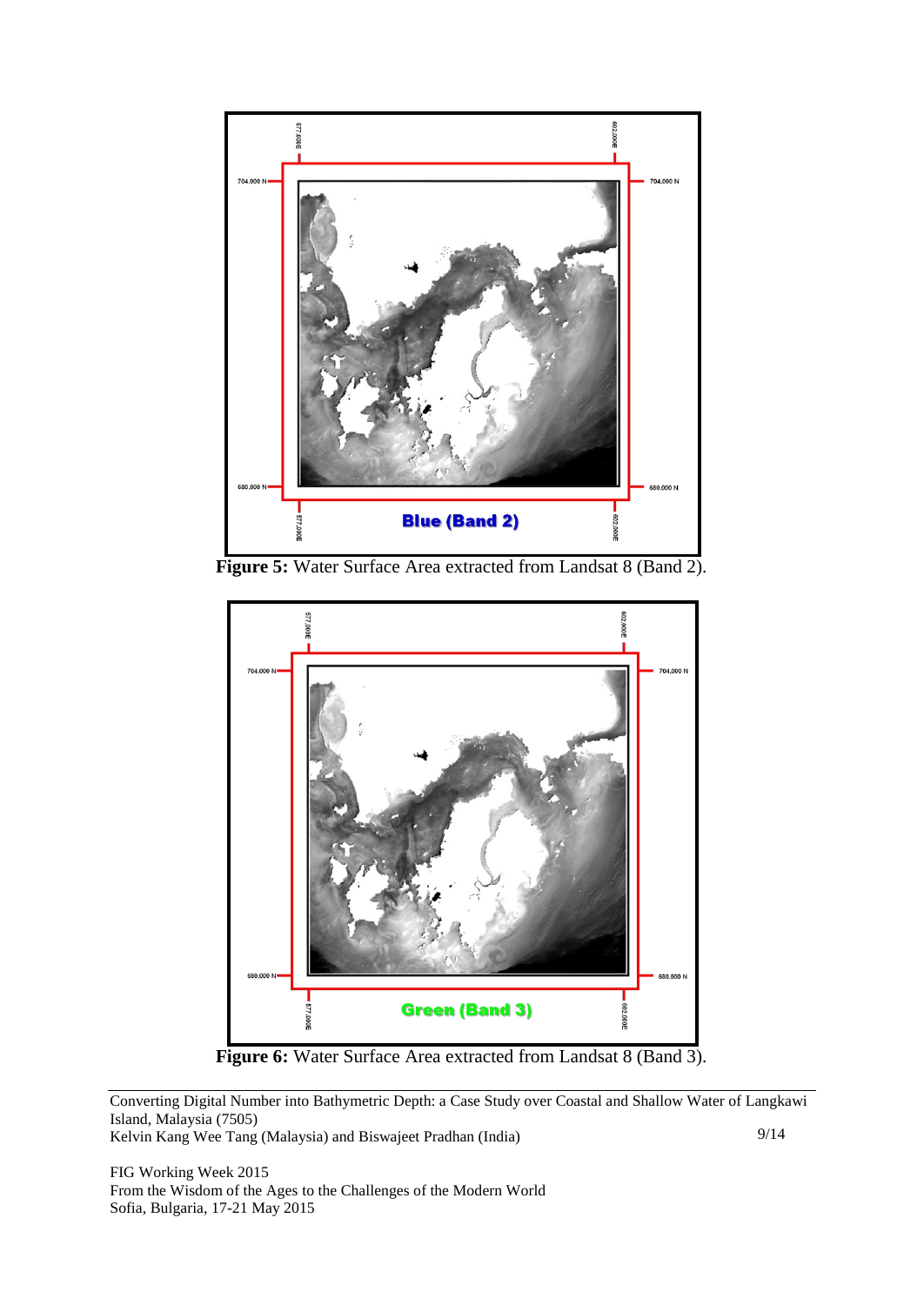

Figure 5: Water Surface Area extracted from Landsat 8 (Band 2).



**Figure 6:** Water Surface Area extracted from Landsat 8 (Band 3).

Converting Digital Number into Bathymetric Depth: a Case Study over Coastal and Shallow Water of Langkawi Island, Malaysia (7505)

Kelvin Kang Wee Tang (Malaysia) and Biswajeet Pradhan (India)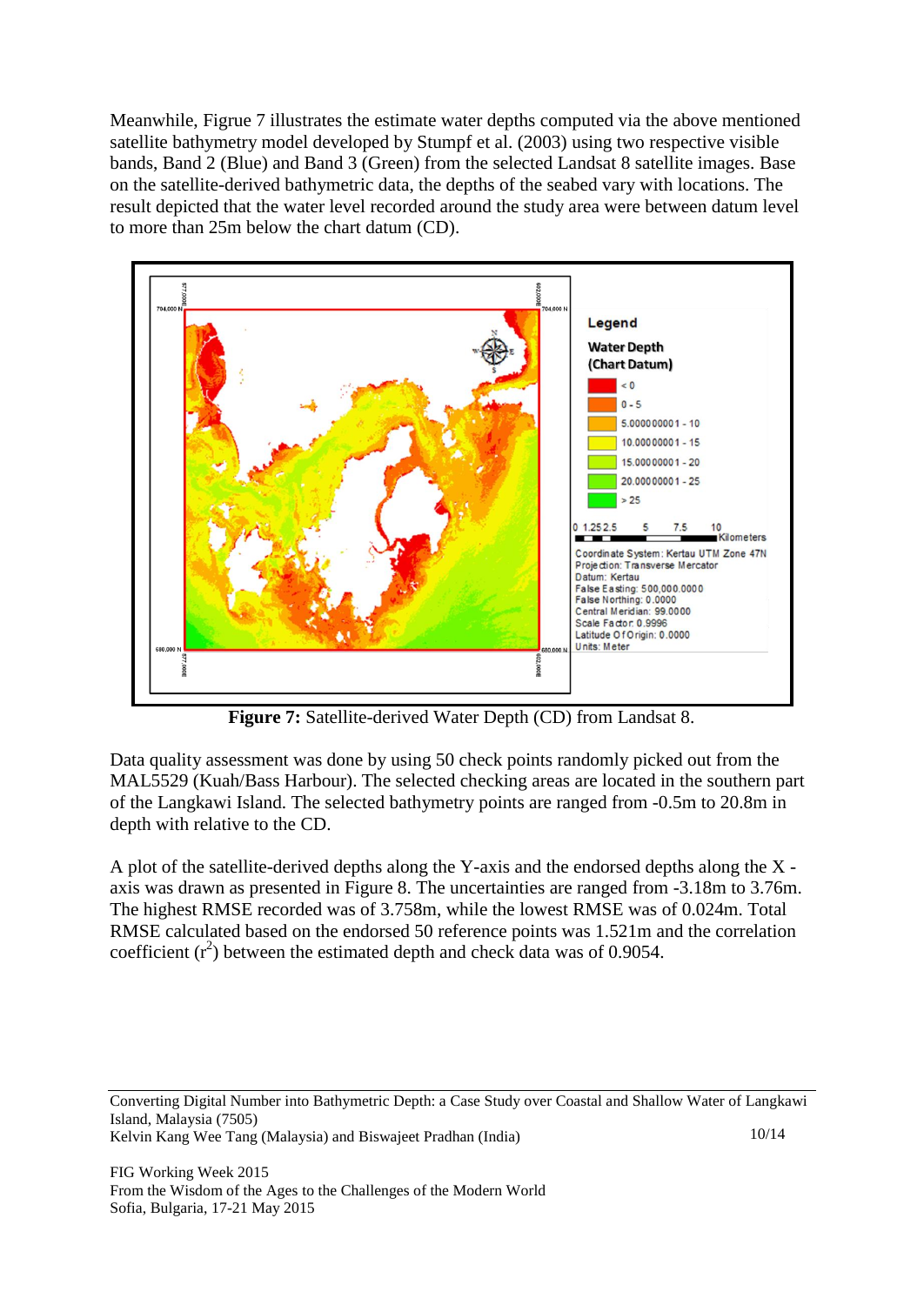Meanwhile, Figrue 7 illustrates the estimate water depths computed via the above mentioned satellite bathymetry model developed by Stumpf et al. (2003) using two respective visible bands, Band 2 (Blue) and Band 3 (Green) from the selected Landsat 8 satellite images. Base on the satellite-derived bathymetric data, the depths of the seabed vary with locations. The result depicted that the water level recorded around the study area were between datum level to more than 25m below the chart datum (CD).



**Figure 7:** Satellite-derived Water Depth (CD) from Landsat 8.

Data quality assessment was done by using 50 check points randomly picked out from the MAL5529 (Kuah/Bass Harbour). The selected checking areas are located in the southern part of the Langkawi Island. The selected bathymetry points are ranged from -0.5m to 20.8m in depth with relative to the CD.

A plot of the satellite-derived depths along the Y-axis and the endorsed depths along the X axis was drawn as presented in Figure 8. The uncertainties are ranged from -3.18m to 3.76m. The highest RMSE recorded was of 3.758m, while the lowest RMSE was of 0.024m. Total RMSE calculated based on the endorsed 50 reference points was 1.521m and the correlation coefficient  $(r^2)$  between the estimated depth and check data was of 0.9054.

Converting Digital Number into Bathymetric Depth: a Case Study over Coastal and Shallow Water of Langkawi Island, Malaysia (7505) Kelvin Kang Wee Tang (Malaysia) and Biswajeet Pradhan (India) 10/14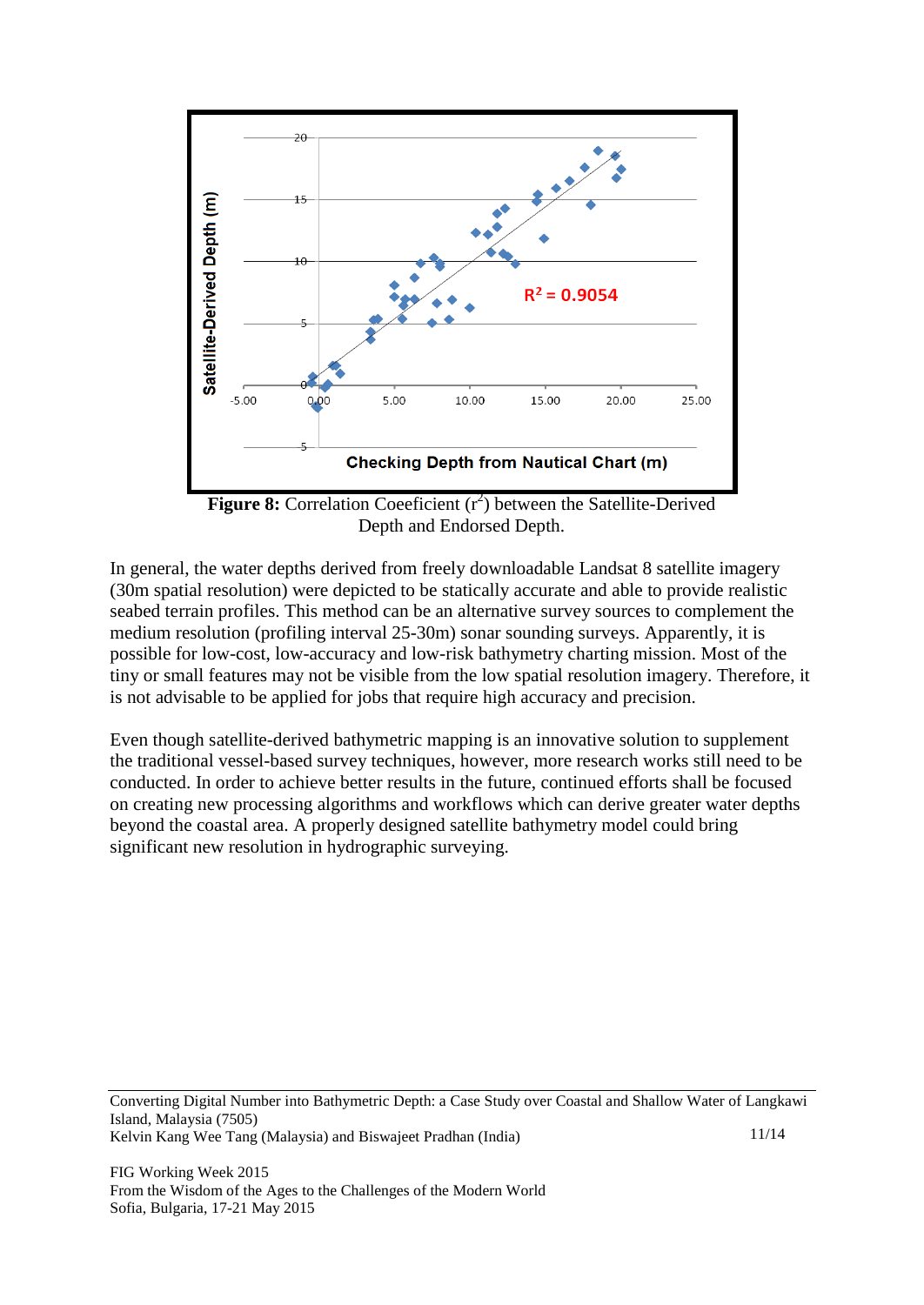

**Figure 8:** Correlation Coeeficient  $(r^2)$  between the Satellite-Derived Depth and Endorsed Depth.

In general, the water depths derived from freely downloadable Landsat 8 satellite imagery (30m spatial resolution) were depicted to be statically accurate and able to provide realistic seabed terrain profiles. This method can be an alternative survey sources to complement the medium resolution (profiling interval 25-30m) sonar sounding surveys. Apparently, it is possible for low-cost, low-accuracy and low-risk bathymetry charting mission. Most of the tiny or small features may not be visible from the low spatial resolution imagery. Therefore, it is not advisable to be applied for jobs that require high accuracy and precision.

Even though satellite-derived bathymetric mapping is an innovative solution to supplement the traditional vessel-based survey techniques, however, more research works still need to be conducted. In order to achieve better results in the future, continued efforts shall be focused on creating new processing algorithms and workflows which can derive greater water depths beyond the coastal area. A properly designed satellite bathymetry model could bring significant new resolution in hydrographic surveying.

Converting Digital Number into Bathymetric Depth: a Case Study over Coastal and Shallow Water of Langkawi Island, Malaysia (7505) Kelvin Kang Wee Tang (Malaysia) and Biswajeet Pradhan (India) 11/14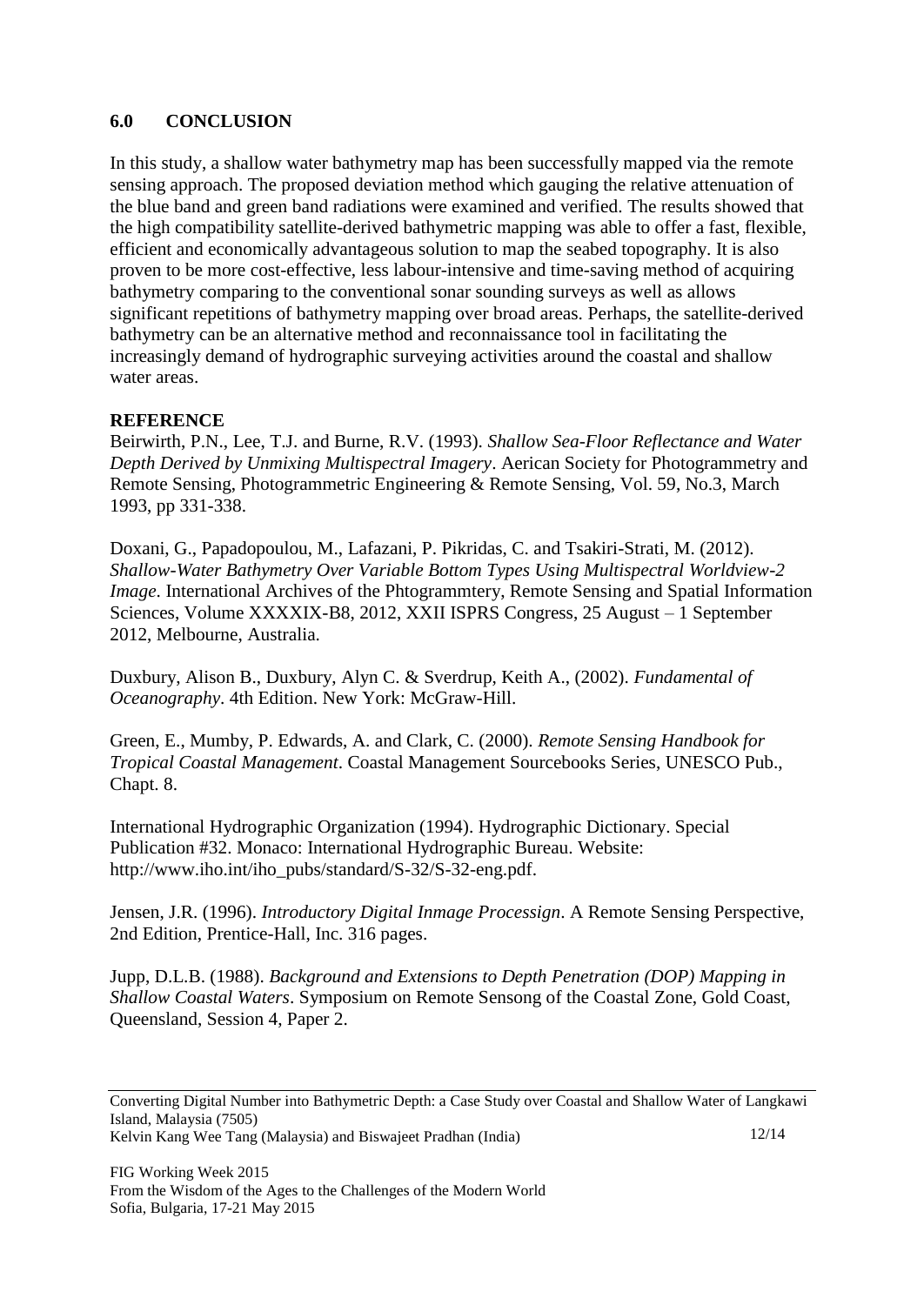#### **6.0 CONCLUSION**

In this study, a shallow water bathymetry map has been successfully mapped via the remote sensing approach. The proposed deviation method which gauging the relative attenuation of the blue band and green band radiations were examined and verified. The results showed that the high compatibility satellite-derived bathymetric mapping was able to offer a fast, flexible, efficient and economically advantageous solution to map the seabed topography. It is also proven to be more cost-effective, less labour-intensive and time-saving method of acquiring bathymetry comparing to the conventional sonar sounding surveys as well as allows significant repetitions of bathymetry mapping over broad areas. Perhaps, the satellite-derived bathymetry can be an alternative method and reconnaissance tool in facilitating the increasingly demand of hydrographic surveying activities around the coastal and shallow water areas.

#### **REFERENCE**

Beirwirth, P.N., Lee, T.J. and Burne, R.V. (1993). *Shallow Sea-Floor Reflectance and Water Depth Derived by Unmixing Multispectral Imagery*. Aerican Society for Photogrammetry and Remote Sensing, Photogrammetric Engineering & Remote Sensing, Vol. 59, No.3, March 1993, pp 331-338.

Doxani, G., Papadopoulou, M., Lafazani, P. Pikridas, C. and Tsakiri-Strati, M. (2012). *Shallow-Water Bathymetry Over Variable Bottom Types Using Multispectral Worldview-2 Image*. International Archives of the Phtogrammtery, Remote Sensing and Spatial Information Sciences, Volume XXXXIX-B8, 2012, XXII ISPRS Congress, 25 August – 1 September 2012, Melbourne, Australia.

Duxbury, Alison B., Duxbury, Alyn C. & Sverdrup, Keith A., (2002). *Fundamental of Oceanography*. 4th Edition. New York: McGraw-Hill.

Green, E., Mumby, P. Edwards, A. and Clark, C. (2000). *Remote Sensing Handbook for Tropical Coastal Management*. Coastal Management Sourcebooks Series, UNESCO Pub., Chapt. 8.

International Hydrographic Organization (1994). Hydrographic Dictionary. Special Publication #32. Monaco: International Hydrographic Bureau. Website: [http://www.iho.int/iho\\_pubs/standard/S-32/S-32-eng.pdf.](http://www.iho.int/iho_pubs/standard/S-32/S-32-eng.pdf)

Jensen, J.R. (1996). *Introductory Digital Inmage Processign*. A Remote Sensing Perspective, 2nd Edition, Prentice-Hall, Inc. 316 pages.

Jupp, D.L.B. (1988). *Background and Extensions to Depth Penetration (DOP) Mapping in Shallow Coastal Waters*. Symposium on Remote Sensong of the Coastal Zone, Gold Coast, Queensland, Session 4, Paper 2.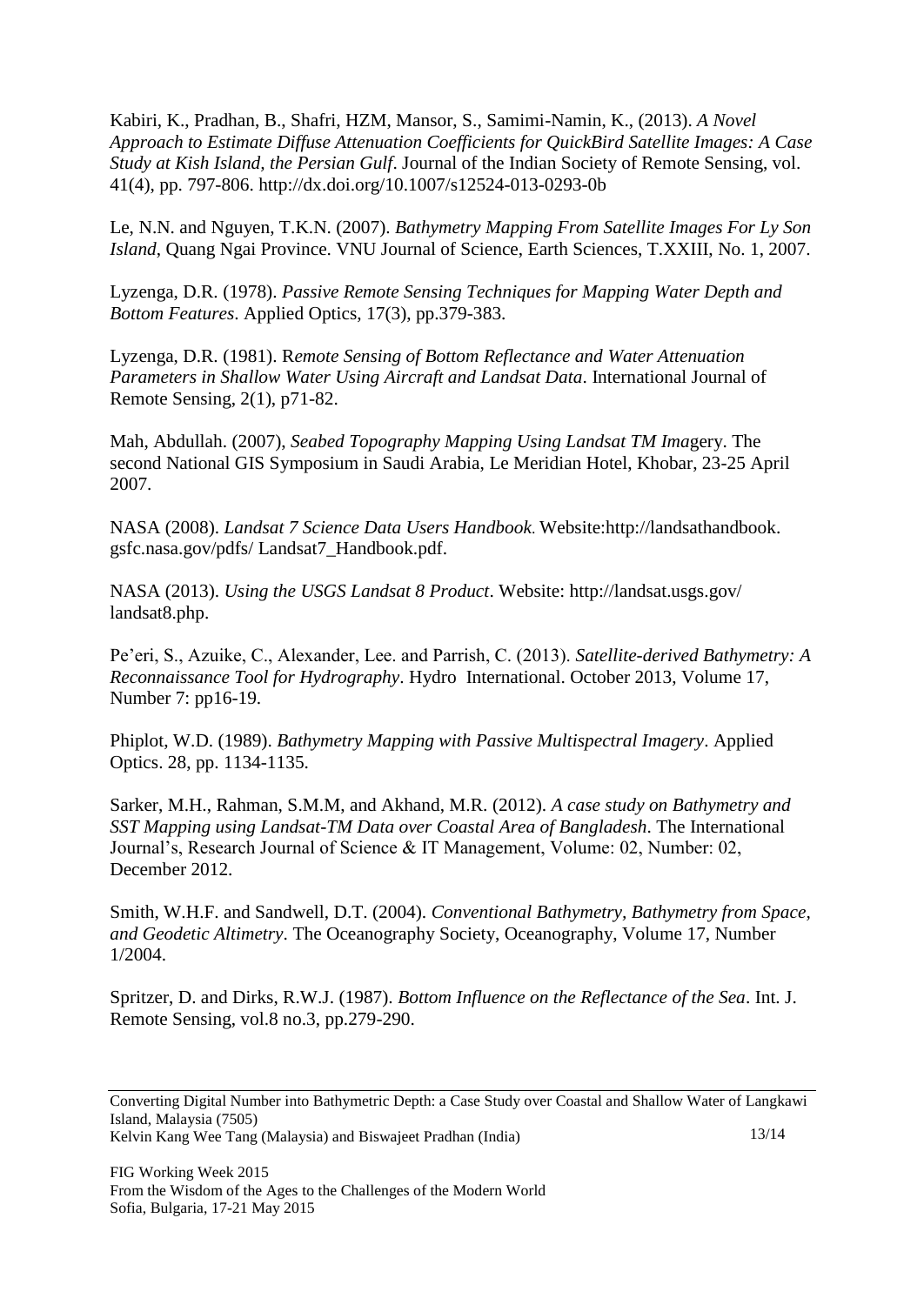Kabiri, K., Pradhan, B., Shafri, HZM, Mansor, S., Samimi-Namin, K., (2013). *A Novel Approach to Estimate Diffuse Attenuation Coefficients for QuickBird Satellite Images: A Case Study at Kish Island, the Persian Gulf*. Journal of the Indian Society of Remote Sensing, vol. 41(4), pp. 797-806. [http://dx.doi.org/10.1007/s12524-013-0293-0b](http://dx.doi.org/10.1007/s12524-013-0293-0) 

Le, N.N. and Nguyen, T.K.N. (2007). *Bathymetry Mapping From Satellite Images For Ly Son Island*, Quang Ngai Province. VNU Journal of Science, Earth Sciences, T.XXIII, No. 1, 2007.

Lyzenga, D.R. (1978). *Passive Remote Sensing Techniques for Mapping Water Depth and Bottom Features*. Applied Optics, 17(3), pp.379-383.

Lyzenga, D.R. (1981). R*emote Sensing of Bottom Reflectance and Water Attenuation Parameters in Shallow Water Using Aircraft and Landsat Data*. International Journal of Remote Sensing, 2(1), p71-82.

Mah, Abdullah. (2007), *Seabed Topography Mapping Using Landsat TM Ima*gery. The second National GIS Symposium in Saudi Arabia, Le Meridian Hotel, Khobar, 23-25 April 2007.

NASA (2008). *Landsat 7 Science Data Users Handbook*. Website:http://landsathandbook. gsfc.nasa.gov/pdfs/ Landsat7\_Handbook.pdf.

NASA (2013). *Using the USGS Landsat 8 Product*. Website: http://landsat.usgs.gov/ landsat8.php.

Pe'eri, S., Azuike, C., Alexander, Lee. and Parrish, C. (2013). *Satellite-derived Bathymetry: A Reconnaissance Tool for Hydrography*. Hydro International. October 2013, Volume 17, Number 7: pp16-19.

Phiplot, W.D. (1989). *Bathymetry Mapping with Passive Multispectral Imagery*. Applied Optics. 28, pp. 1134-1135.

Sarker, M.H., Rahman, S.M.M, and Akhand, M.R. (2012). *A case study on Bathymetry and SST Mapping using Landsat-TM Data over Coastal Area of Bangladesh*. The International Journal's, Research Journal of Science & IT Management, Volume: 02, Number: 02, December 2012.

Smith, W.H.F. and Sandwell, D.T. (2004). *Conventional Bathymetry, Bathymetry from Space, and Geodetic Altimetry*. The Oceanography Society, Oceanography, Volume 17, Number 1/2004.

Spritzer, D. and Dirks, R.W.J. (1987). *Bottom Influence on the Reflectance of the Sea*. Int. J. Remote Sensing, vol.8 no.3, pp.279-290.